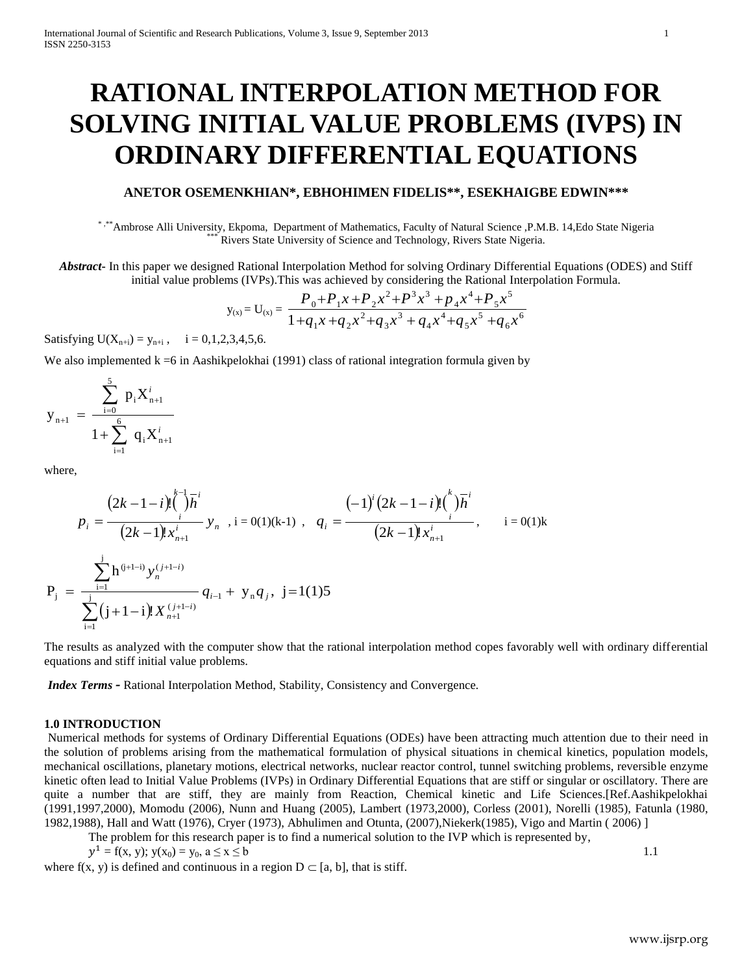# **RATIONAL INTERPOLATION METHOD FOR SOLVING INITIAL VALUE PROBLEMS (IVPS) IN ORDINARY DIFFERENTIAL EQUATIONS**

# **ANETOR OSEMENKHIAN\*, EBHOHIMEN FIDELIS\*\*, ESEKHAIGBE EDWIN\*\*\***

\* ,\*\*Ambrose Alli University, Ekpoma, Department of Mathematics, Faculty of Natural Science ,P.M.B. 14,Edo State Nigeria Rivers State University of Science and Technology, Rivers State Nigeria.

*Abstract***-** In this paper we designed Rational Interpolation Method for solving Ordinary Differential Equations (ODES) and Stiff initial value problems (IVPs).This was achieved by considering the Rational Interpolation Formula.

$$
y_{(x)} = U_{(x)} = \frac{P_0 + P_1 x + P_2 x^2 + P^3 x^3 + P_4 x^4 + P_5 x^5}{1 + P_1 x + P_2 x^2 + P_3 x^3 + P_4 x^4 + P_5 x^5 + P_6 x^6}
$$

Satisfying  $U(X_{n+i}) = y_{n+i}$ ,  $i = 0,1,2,3,4,5,6$ .

We also implemented  $k = 6$  in Aashikpelokhai (1991) class of rational integration formula given by

$$
y_{_{n+1}}\ =\frac{\sum\limits_{i=0}^{5}p_{_{i}}X_{_{n+1}}^{^{i}}}{1+\sum\limits_{i=1}^{6}~q_{_{i}}X_{_{n+1}}^{^{i}}}
$$

where,

$$
p_{i} = \frac{(2k-1-i)! \binom{k}{i} \overline{h}^{i}}{(2k-1)! x_{n+1}^{i}} y_{n}, i = 0(1)(k-1), q_{i} = \frac{(-1)^{i} (2k-1-i)! \binom{k}{i} \overline{h}^{i}}{(2k-1)! x_{n+1}^{i}}, i = 0(1)k
$$
  

$$
P_{j} = \frac{\sum_{i=1}^{j} h^{(j+1-i)} y_{n}^{(j+1-i)}}{\sum_{i=1}^{j} (j+1-i)! X_{n+1}^{(j+1-i)}} q_{i-1} + y_{n} q_{j}, j = 1(1)5
$$

The results as analyzed with the computer show that the rational interpolation method copes favorably well with ordinary differential equations and stiff initial value problems.

*Index Terms -* Rational Interpolation Method, Stability, Consistency and Convergence*.*

#### **1.0 INTRODUCTION**

Numerical methods for systems of Ordinary Differential Equations (ODEs) have been attracting much attention due to their need in the solution of problems arising from the mathematical formulation of physical situations in chemical kinetics, population models, mechanical oscillations, planetary motions, electrical networks, nuclear reactor control, tunnel switching problems, reversible enzyme kinetic often lead to Initial Value Problems (IVPs) in Ordinary Differential Equations that are stiff or singular or oscillatory. There are quite a number that are stiff, they are mainly from Reaction, Chemical kinetic and Life Sciences.[Ref.Aashikpelokhai (1991,1997,2000), Momodu (2006), Nunn and Huang (2005), Lambert (1973,2000), Corless (2001), Norelli (1985), Fatunla (1980, 1982,1988), Hall and Watt (1976), Cryer (1973), Abhulimen and Otunta, (2007),Niekerk(1985), Vigo and Martin ( 2006) ]

The problem for this research paper is to find a numerical solution to the IVP which is represented by,

$$
y^1 = f(x, y); y(x_0) = y_0, a \le x \le b
$$

where f(x, y) is defined and continuous in a region  $D \subset [a, b]$ , that is stiff.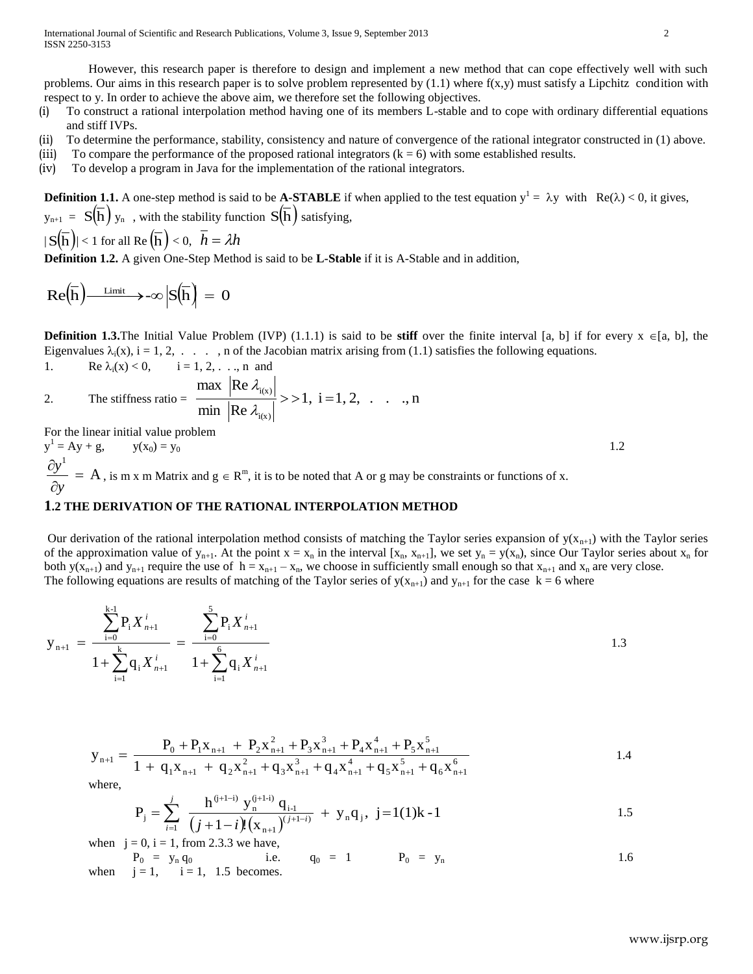International Journal of Scientific and Research Publications, Volume 3, Issue 9, September 2013 2 ISSN 2250-3153

However, this research paper is therefore to design and implement a new method that can cope effectively well with such problems. Our aims in this research paper is to solve problem represented by  $(1.1)$  where  $f(x,y)$  must satisfy a Lipchitz condition with respect to y. In order to achieve the above aim, we therefore set the following objectives.

- (i) To construct a rational interpolation method having one of its members L-stable and to cope with ordinary differential equations and stiff IVPs.
- (ii) To determine the performance, stability, consistency and nature of convergence of the rational integrator constructed in (1) above.
- (iii) To compare the performance of the proposed rational integrators  $(k = 6)$  with some established results.
- (iv) To develop a program in Java for the implementation of the rational integrators.

**Definition 1.1.** A one-step method is said to be **A-STABLE** if when applied to the test equation  $y^1 = \lambda y$  with  $Re(\lambda) < 0$ , it gives,  $y_{n+1} = S(\overline{h}) y_n$ , with the stability function  $S(\overline{h})$  satisfying,

$$
|S(\overline{h})| < 1 \text{ for all } Re(\overline{h}) < 0, \ \overline{h} = \lambda h
$$

**Definition 1.2.** A given One-Step Method is said to be **L-Stable** if it is A-Stable and in addition,

$$
Re\left(\overline{h}\right) \xrightarrow{\text{Limit}} \rightarrow -\infty \left|S\left(\overline{h}\right)\right| = 0
$$

**Definition 1.3.** The Initial Value Problem (IVP) (1.1.1) is said to be **stiff** over the finite interval [a, b] if for every  $x \in [a, b]$ , the Eigenvalues  $\lambda_i(x)$ , i = 1, 2, . . . , n of the Jacobian matrix arising from (1.1) satisfies the following equations. 1. Re  $\lambda_i(x) < 0$ ,  $i = 1, 2, ..., n$  and

2. The stiffness ratio = 
$$
\frac{\max |Re \lambda_{i(x)}|}{\min |Re \lambda_{i(x)}|} >> 1, i = 1, 2, ..., n
$$

For the linear initial value problem

y 1  $= Ay + g,$   $y(x_0) = y_0$  1.2  $A$ , is m x m Matrix and  $g \in R^m$ , it is to be noted that A or g may be constraints or functions of x. 1  $\partial$  $\partial$ *y y*

### **1.2 THE DERIVATION OF THE RATIONAL INTERPOLATION METHOD**

Our derivation of the rational interpolation method consists of matching the Taylor series expansion of  $y(x_{n+1})$  with the Taylor series of the approximation value of  $y_{n+1}$ . At the point  $x = x_n$  in the interval  $[x_n, x_{n+1}]$ , we set  $y_n = y(x_n)$ , since Our Taylor series about  $x_n$  for both  $y(x_{n+1})$  and  $y_{n+1}$  require the use of  $h = x_{n+1} - x_n$ , we choose in sufficiently small enough so that  $x_{n+1}$  and  $x_n$  are very close. The following equations are results of matching of the Taylor series of  $y(x_{n+1})$  and  $y_{n+1}$  for the case  $k = 6$  where

$$
\mathbf{y}_{n+1} = \frac{\sum_{i=0}^{k-1} P_i X_{n+1}^i}{1 + \sum_{i=1}^k q_i X_{n+1}^i} = \frac{\sum_{i=0}^5 P_i X_{n+1}^i}{1 + \sum_{i=1}^6 q_i X_{n+1}^i}
$$

$$
y_{n+1} = \frac{P_0 + P_1 x_{n+1} + P_2 x_{n+1}^2 + P_3 x_{n+1}^3 + P_4 x_{n+1}^4 + P_5 x_{n+1}^5}{1 + q_1 x_{n+1} + q_2 x_{n+1}^2 + q_3 x_{n+1}^3 + q_4 x_{n+1}^4 + q_5 x_{n+1}^5 + q_6 x_{n+1}^6}
$$
\n
$$
1.4
$$

where,

$$
P_{j} = \sum_{i=1}^{j} \frac{h^{(j+1-i)} y_{n}^{(j+1-i)} q_{i-1}}{(j+1-i)!(x_{n+1})^{(j+1-i)}} + y_{n} q_{j}, \ j=1(1)k-1
$$

when  $j = 0$ ,  $i = 1$ , from 2.3.3 we have,

 $P_0 = y_n q_0$  i.e.  $q_0 = 1$   $P_0 = y_n$  1.6 when  $j = 1$ ,  $i = 1$ , 1.5 becomes.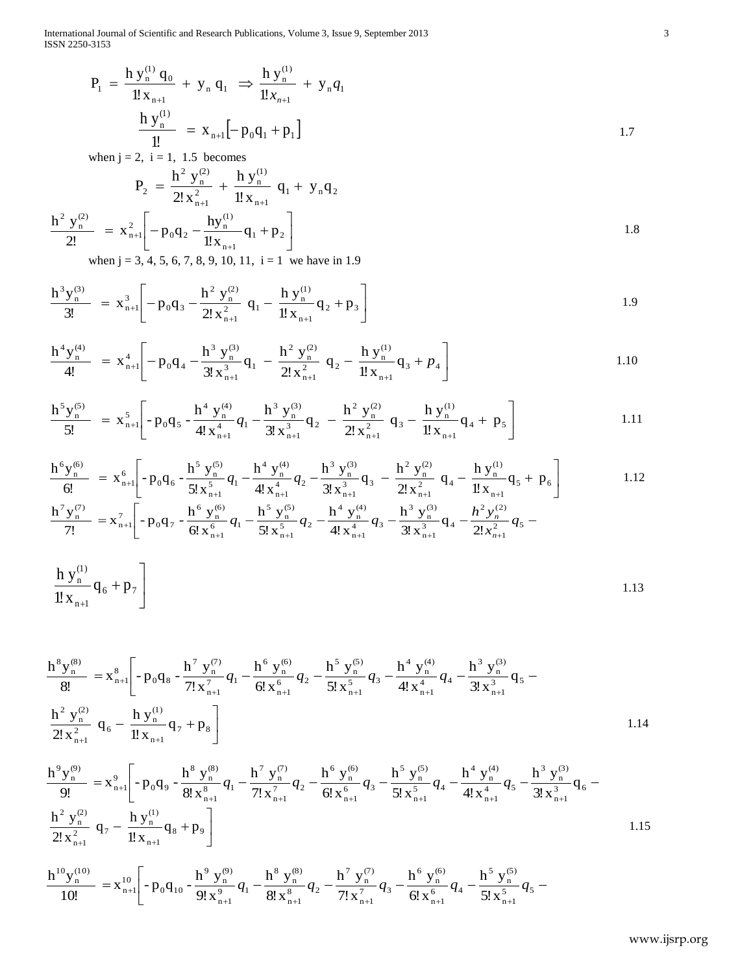International Journal of Scientific and Research Publications, Volume 3, Issue 9, September 2013 3 ISSN 2250-3153

$$
P_1 = \frac{h y_n^{(1)} q_0}{1! x_{n+1}} + y_n q_1 \Rightarrow \frac{h y_n^{(1)}}{1! x_{n+1}} + y_n q_1
$$
  

$$
\frac{h y_n^{(1)}}{1!} = x_{n+1} [-p_0 q_1 + p_1]
$$
  
when j = 2, i = 1, 1.5 becomes

$$
P_2 = \frac{h^2 y_n^{(2)}}{2! x_{n+1}^2} + \frac{h y_n^{(1)}}{1! x_{n+1}} q_1 + y_n q_2
$$
  

$$
\frac{h^2 y_n^{(2)}}{2!} = x_{n+1}^2 \left[ -p_0 q_2 - \frac{h y_n^{(1)}}{1! x_{n+1}} q_1 + p_2 \right]
$$
 1.8

when  $j = 3, 4, 5, 6, 7, 8, 9, 10, 11, i = 1$  we have in 1.9

$$
\frac{h^3 y_n^{(3)}}{3!} = x_{n+1}^3 \left[ -p_0 q_3 - \frac{h^2 y_n^{(2)}}{2! x_{n+1}^2} q_1 - \frac{h y_n^{(1)}}{1! x_{n+1}} q_2 + p_3 \right]
$$
 1.9

$$
\frac{h^4 y_n^{(4)}}{4!} = x_{n+1}^4 \left[ -p_0 q_4 - \frac{h^3 y_n^{(3)}}{3! x_{n+1}^3} q_1 - \frac{h^2 y_n^{(2)}}{2! x_{n+1}^2} q_2 - \frac{h y_n^{(1)}}{1! x_{n+1}} q_3 + p_4 \right]
$$
 1.10

$$
\frac{h^5 y_n^{(5)}}{5!} = x_{n+1}^5 \left[ -p_0 q_5 - \frac{h^4 y_n^{(4)}}{4! x_{n+1}^4} q_1 - \frac{h^3 y_n^{(3)}}{3! x_{n+1}^3} q_2 - \frac{h^2 y_n^{(2)}}{2! x_{n+1}^2} q_3 - \frac{h y_n^{(1)}}{1! x_{n+1}} q_4 + p_5 \right]
$$
 1.11

$$
\frac{h^6 y_n^{(6)}}{6!} = x_{n+1}^6 \left[ -p_0 q_6 - \frac{h^5 y_n^{(5)}}{5! x_{n+1}^5} q_1 - \frac{h^4 y_n^{(4)}}{4! x_{n+1}^4} q_2 - \frac{h^3 y_n^{(3)}}{3! x_{n+1}^3} q_3 - \frac{h^2 y_n^{(2)}}{2! x_{n+1}^2} q_4 - \frac{h y_n^{(1)}}{1! x_{n+1}} q_5 + p_6 \right]
$$
\n1.12\n
$$
\frac{h^7 y_n^{(7)}}{7!} = x_{n+1}^7 \left[ -p_0 q_7 - \frac{h^6 y_n^{(6)}}{6! x_{n+1}^6} q_1 - \frac{h^5 y_n^{(5)}}{5! x_{n+1}^5} q_2 - \frac{h^4 y_n^{(4)}}{4! x_{n+1}^4} q_3 - \frac{h^3 y_n^{(3)}}{3! x_{n+1}^3} q_4 - \frac{h^2 y_n^{(2)}}{2! x_{n+1}^2} q_5 - \frac{h^3 y_n^{(4)}}{4! x_{n+1}^4} q_5 - \frac{h^4 y_n^{(5)}}{4! x_{n+1}^5} q_6 - \frac{h^4 y_n^{(6)}}{4! x_{n+1}^6} q_7 - \frac{h^4 y_n^{(7)}}{4! x_{n+1}^6} q_8 - \frac{h^4 y_n^{(8)}}{4! x_{n+1}^6} q_9 - \frac{h^4 y_n^{(9)}}{4! x_{n+1}^6} q_1 - \frac{h^4 y_n^{(1)}}{2! x_{n+1}^2} q_5 - \frac{h^4 y_n^{(1)}}{2! x_{n+1}^6} q_7 - \frac{h^4 y_n^{(1)}}{2! x_{n+1}^6} q_1 - \frac{h^4 y_n^{(1)}}{2! x_{n+1}^6} q_1 - \frac{h^4 y_n^{(1)}}{2! x_{n+1}^6} q_1 - \frac{h^4 y_n^{(2)}}{2! x_{n+1}^6} q_1 - \frac{h^4 y_n^{(3)}}{2! x_{n+1}^6} q_1 - \frac{h^4 y_n^{(4)}}{2! x_{n+1}^6} q_1 - \frac
$$

$$
\frac{h y_{n}^{(1)}}{1! x_{n+1}} q_6 + p_7 \bigg]
$$
 (1.13)

1.7  
\n
$$
\frac{h y_0^{(1)}}{1!} = x_{0+1}[-p_0q_1 + p_1]
$$
\nwhen  $j = 2, j = 1, 1.5$  becomes  
\n
$$
P_2 = \frac{h^2 y_0^{(2)}}{2! x_{0+1}^2} + \frac{h y_0^{(1)}}{2! x_{0+1}^2} + \frac{h y_0^{(1)}}{2! x_{0+1}^2} + \frac{h y_0^{(1)}}{2! x_{0+1}^2} + \frac{h y_0^{(1)}}{2! x_{0+1}^2} + \frac{h y_0^{(1)}}{2! x_{0+1}^2} + \frac{h y_0^{(1)}}{2! x_{0+1}^2} + \frac{h y_0^{(1)}}{2! x_{0+1}^2} + \frac{h y_0^{(1)}}{2! x_{0+1}^2} + \frac{h y_0^{(1)}}{2! x_{0+1}^2} + \frac{h y_0^{(1)}}{2! x_{0+1}^2} + \frac{h y_0^{(1)}}{2! x_{0+1}^2} + \frac{h y_0^{(1)}}{2! x_{0+1}^2} + \frac{h y_0^{(1)}}{2! x_{0+1}^2} + \frac{h y_0^{(1)}}{2! x_{0+1}^2} + \frac{h y_0^{(1)}}{2! x_{0+1}^2} + \frac{h y_0^{(1)}}{2! x_{0+1}^2} + \frac{h y_0^{(1)}}{2! x_{0+1}^2} + \frac{h y_0^{(1)}}{2! x_{0+1}^2} + \frac{h y_0^{(1)}}{2! x_{0+1}^2} + \frac{h y_0^{(1)}}{2! x_{0+1}^2} + \frac{h y_0^{(1)}}{2! x_{0+1}^2} + \frac{h y_0^{(1)}}{2! x_{0+1}^2} + \frac{h y_0^{(1)}}{2! x_{0+1}^2} + \frac{h y_0^{(1)}}{2! x_{0+1}^2} + \frac{h y_0^{(1)}}{2! x_{0+1}^2} + \frac{h y_0^{(1)}}{2! x_{0+1}^2} + \frac{h y_0^{(1)}}{2! x_{0+1}^2} + \frac{h y_0^{(
$$

$$
\frac{h^{9}y_{n}^{(9)}}{9!} = x_{n+1}^{9} \left[ -p_{0}q_{9} - \frac{h^{8}y_{n}^{(8)}}{8!x_{n+1}^{8}}q_{1} - \frac{h^{7}y_{n}^{(7)}}{7!x_{n+1}^{7}}q_{2} - \frac{h^{6}y_{n}^{(6)}}{6!x_{n+1}^{6}}q_{3} - \frac{h^{5}y_{n}^{(5)}}{5!x_{n+1}^{5}}q_{4} - \frac{h^{4}y_{n}^{(4)}}{4!x_{n+1}^{4}}q_{5} - \frac{h^{3}y_{n}^{(3)}}{3!x_{n+1}^{3}}q_{6} - \frac{h^{2}y_{n}^{(2)}}{2!x_{n+1}^{2}}q_{7} - \frac{h y_{n}^{(1)}}{1!x_{n+1}^{2}}q_{8} + p_{9} \right]
$$
\n
$$
h^{10}y_{n}^{(10)} \qquad \qquad \ldots^{10} \left[ -\frac{h^{9}y_{n}^{(9)}}{9!x_{n}^{9}} - \frac{h^{8}y_{n}^{(8)}}{9!x_{n}^{9}} - \frac{h^{7}y_{n}^{(7)}}{9!x_{n}^{9}} - \frac{h^{6}y_{n}^{(6)}}{9!x_{n}^{9}} - \frac{h^{5}y_{n}^{(5)}}{9!x_{n}^{9}} - \frac{h^{5}y_{n}^{(5)}}{9!x_{n}^{9}} \right]
$$
\n
$$
1.15
$$

$$
\frac{h^{10}y_n^{(10)}}{10!} = x_{n+1}^{10} \left[ -p_0 q_{10} - \frac{h^9 y_n^{(9)}}{9! x_{n+1}^9} q_1 - \frac{h^8 y_n^{(8)}}{8! x_{n+1}^8} q_2 - \frac{h^7 y_n^{(7)}}{7! x_{n+1}^7} q_3 - \frac{h^6 y_n^{(6)}}{6! x_{n+1}^6} q_4 - \frac{h^5 y_n^{(5)}}{5! x_{n+1}^5} q_5 - \right]
$$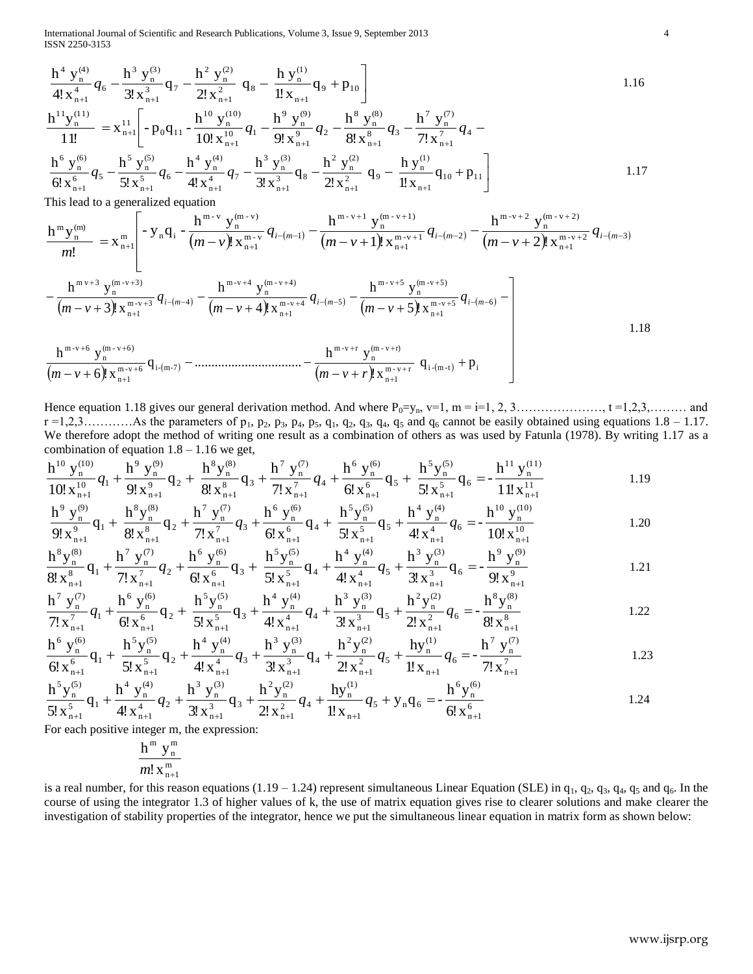International Journal of Scientific and Research Publications, Volume 3, Issue 9, September 2013 4 ISSN 2250-3153

$$
\frac{h^4 \times h^{(0)}}{4! \times h^{(0)}} q_6 - \frac{h^3 \times h^{(0)}}{3! \times h^{(0)}} q_7 - \frac{h^3 \times h^{(0)}}{1! \times h^{(0)}} q_7 - \frac{h^4 \times h^{(0)}}{1! \times h^{(0)}} q_7 - \frac{h^5 \times h^{(0)}}{2! \times h^{(0)}} q_7 - \frac{h^5 \times h^{(0)}}{2! \times h^{(0)}} q_7 - \frac{h^5 \times h^{(0)}}{2! \times h^{(0)}} q_7 - \frac{h^5 \times h^{(0)}}{2! \times h^{(0)}} q_7 - \frac{h^5 \times h^{(0)}}{2! \times h^{(0)}} q_7 - \frac{h^5 \times h^{(0)}}{2! \times h^{(0)}} q_7 - \frac{h^5 \times h^{(0)}}{2! \times h^{(0)}} q_7 - \frac{h^5 \times h^{(0)}}{2! \times h^{(0)}} q_8 - \frac{h^5 \times h^{(0)}}{2! \times h^{(0)}} q_9 - \frac{h^5 \times h^{(0)}}{2! \times h^{(0)}} q_9 - \frac{h^5 \times h^{(0)}}{2! \times h^{(0)}} q_9 - \frac{h^5 \times h^{(0)}}{2! \times h^{(0)}} q_9 - \frac{h^5 \times h^{(0)}}{2! \times h^{(0)}} q_9 - \frac{h^5 \times h^{(0)}}{2! \times h^{(0)}} q_9 - \frac{h^5 \times h^{(0)}}{2! \times h^{(0)}} q_9 - \frac{h^5 \times h^{(0)}}{2! \times h^{(0)}} q_9 - \frac{h^5 \times h^{(0)}}{2! \times h^{(0)}} q_9 - \frac{h^5 \times h^{(0)}}{2! \times h^{(0)}} q_9 - \frac{h^5 \times h^{(0)}}{2! \times h^{(0)}} q_9 - \frac{h^5 \times h^{(0)}}{2! \times h^{(0)}} q_9 - \frac{h^5 \times h^{(0)}}{2! \times h^{(0)}} q_9 - \frac{h^5 \times h^{(0)}}{2! \times h^{(0)}} q_9 - \frac{h^5 \times h^{(0)}}{2! \times h^{(0)}} q_9 - \frac{h^5 \times h^{(0)}}{2! \times h^{(0)}} q_9 - \frac{h
$$

This lead to a generalized equation

$$
\frac{h^m y_n^{(m)}}{m!} = x_{n+1}^m \left[ -y_n q_i - \frac{h^{m-v} y_n^{(m-v)}}{(m-v)! x_{n+1}^{m-v}} q_{i-(m-1)} - \frac{h^{m-v+1} y_n^{(m-v+1)}}{(m-v+1)! x_{n+1}^{m-v+1}} q_{i-(m-2)} - \frac{h^{m-v+2} y_n^{(m-v+2)}}{(m-v+2)! x_{n+1}^{m-v+2}} q_{i-(m-3)} \right]
$$
\n
$$
h^{m-v+3} y_n^{(m-v+3)}
$$
\n
$$
h^{m-v+4} y_n^{(m-v+4)}
$$
\n
$$
h^{m-v+5} y_n^{(m-v+5)}
$$

$$
-\frac{h^{m \nu+3} y_{n}^{(m \nu+3)}}{(m-\nu+3)! x_{n+1}^{m \nu+3}} q_{i-(m-4)} - \frac{h^{m \nu+4} y_{n}^{(m \nu+4)}}{(m-\nu+4)! x_{n+1}^{m \nu+4}} q_{i-(m-5)} - \frac{h^{m \nu+5} y_{n}^{(m \nu+5)}}{(m-\nu+5)! x_{n+1}^{m \nu+5}} q_{i-(m-6)} - \frac{h^{m \nu+5} y_{n}^{(m \nu+5)}}{(m-\nu+5)! x_{n+1}^{m \nu+5}} q_{i-(m-6)} - \frac{h^{m \nu+5} y_{n}^{(m \nu+5)}}{(m-\nu+5)! x_{n+1}^{m \nu+5}} q_{i-(m-6)} - \frac{h^{m \nu+5} y_{n}^{(m \nu+5)}}{(m-\nu+5)! x_{n+1}^{m \nu+5}} q_{i-(m-6)} - \frac{h^{m \nu+5} y_{n}^{(m \nu+5)}}{(m-\nu+5)! x_{n+1}^{m \nu+5}} q_{i-(m-6)} - \frac{h^{m \nu+5} y_{n}^{(m \nu+5)}}{(m-\nu+5)! x_{n+1}^{m \nu+5}} q_{i-(m-6)} - \frac{h^{m \nu+5} y_{n}^{(m \nu+5)}}{(m-\nu+5)! x_{n+1}^{m \nu+5}} q_{i-(m-6)} - \frac{h^{m \nu+5} y_{n}^{(m \nu+5)}}{(m-\nu+5)! x_{n+1}^{m \nu+5}} q_{i-(m-6)} - \frac{h^{m \nu+5} y_{n}^{(m \nu+5)}}{(m-\nu+5)! x_{n+1}^{m \nu+5}} q_{i-(m-6)} - \frac{h^{m \nu+5} y_{n}^{(m \nu+5)}}{(m-\nu+5)! x_{n+1}^{m \nu+5}} q_{i-(m-6)} - \frac{h^{m \nu+5} y_{n}^{(m \nu+5)}}{(m-\nu+5)! x_{n+1}^{m \nu+5}} q_{i-(m-6)} - \frac{h^{m \nu+5} y_{n}^{(m \nu+5)}}{(m-\nu+5)! x_{n+1}^{m \nu+5}} q_{i-(m-6)} - \frac{h^{m \nu+5} y_{n}^{(m \nu+5)}}{(m-\nu+5)! x
$$

$$
\frac{\ln y_n}{(m-v+6)! x_{n+1}^{m-v+6}} q_{i-(m-7)} - \dots + \dots + \dots + \dots + \frac{\ln y_n}{(m-v+r)! x_{n+1}^{m-v+r}} q_{i-(m-t)} + p_i
$$

Hence equation 1.18 gives our general derivation method. And where  $P_0=y_n$ ,  $v=1$ ,  $m = i=1, 2, 3, \ldots, i = 1, 2, 3, \ldots$  and  $r = 1,2,3,...,\ldots$  As the parameters of  $p_1$ ,  $p_2$ ,  $p_3$ ,  $p_4$ ,  $p_5$ ,  $q_1$ ,  $q_2$ ,  $q_3$ ,  $q_4$ ,  $q_5$  and  $q_6$  cannot be easily obtained using equations 1.8 – 1.17. We therefore adopt the method of writing one result as a combination of others as was used by Fatunla (1978). By writing 1.17 as a  $\frac{1}{11}$ e<br>m<br><sup>10</sup>

$$
\frac{h^{10} y_n^{(10)}}{10! x_{n+1}^{10}} q_1 + \frac{h^9 y_n^{(9)}}{9! x_{n+1}^9} q_2 + \frac{h^8 y_n^{(8)}}{8! x_{n+1}^8} q_3 + \frac{h^7 y_n^{(7)}}{7! x_{n+1}^7} q_4 + \frac{h^6 y_n^{(6)}}{6! x_{n+1}^6} q_5 + \frac{h^5 y_n^{(5)}}{5! x_{n+1}^5} q_6 = -\frac{h^{11} y_n^{(11)}}{11! x_{n+1}^{11}}
$$
\n
$$
h^9 y_n^{(9)}
$$
\n
$$
h^8 y_n^{(8)}
$$
\n
$$
h^7 y_n^{(7)}
$$
\n
$$
h^6 y_n^{(6)}
$$
\n
$$
h^5 y_n^{(5)}
$$
\n
$$
h^4 y_n^{(4)}
$$
\n
$$
h^{10} y_n^{(10)}
$$

$$
\frac{h^{9} y_{n}^{(9)}}{9! x_{n+1}^{9}} q_{1} + \frac{h^{8} y_{n}^{(8)}}{8! x_{n+1}^{8}} q_{2} + \frac{h^{7} y_{n}^{(7)}}{7! x_{n+1}^{7}} q_{3} + \frac{h^{6} y_{n}^{(6)}}{6! x_{n+1}^{6}} q_{4} + \frac{h^{5} y_{n}^{(5)}}{5! x_{n+1}^{5}} q_{5} + \frac{h^{4} y_{n}^{(4)}}{4! x_{n+1}^{4}} q_{6} = -\frac{h^{10} y_{n}^{(10)}}{10! x_{n+1}^{10}}
$$
\n1.20

$$
\frac{h^8 y_n^{(8)}}{8! x_{n+1}^8} q_1 + \frac{h^7 y_n^{(7)}}{7! x_{n+1}^7} q_2 + \frac{h^6 y_n^{(6)}}{6! x_{n+1}^6} q_3 + \frac{h^5 y_n^{(5)}}{5! x_{n+1}^5} q_4 + \frac{h^4 y_n^{(4)}}{4! x_{n+1}^4} q_5 + \frac{h^3 y_n^{(3)}}{3! x_{n+1}^3} q_6 = -\frac{h^9 y_n^{(9)}}{9! x_{n+1}^9} \tag{1.21}
$$

$$
\frac{h^7 y_n^{(7)}}{7! x_{n+1}^7} q_1 + \frac{h^6 y_n^{(6)}}{6! x_{n+1}^6} q_2 + \frac{h^5 y_n^{(5)}}{5! x_{n+1}^5} q_3 + \frac{h^4 y_n^{(4)}}{4! x_{n+1}^4} q_4 + \frac{h^3 y_n^{(3)}}{3! x_{n+1}^3} q_5 + \frac{h^2 y_n^{(2)}}{2! x_{n+1}^2} q_6 = -\frac{h^8 y_n^{(8)}}{8! x_{n+1}^8} \tag{1.22}
$$

$$
\frac{h^6 y_n^{(6)}}{6! x_{n+1}^6} q_1 + \frac{h^5 y_n^{(5)}}{5! x_{n+1}^5} q_2 + \frac{h^4 y_n^{(4)}}{4! x_{n+1}^4} q_3 + \frac{h^3 y_n^{(3)}}{3! x_{n+1}^3} q_4 + \frac{h^2 y_n^{(2)}}{2! x_{n+1}^2} q_5 + \frac{hy_n^{(1)}}{1! x_{n+1}} q_6 = -\frac{h^7 y_n^{(7)}}{7! x_{n+1}^7} \tag{1.23}
$$

$$
\frac{h^5 y_n^{(5)}}{5! x_{n+1}^5} q_1 + \frac{h^4 y_n^{(4)}}{4! x_{n+1}^4} q_2 + \frac{h^3 y_n^{(3)}}{3! x_{n+1}^3} q_3 + \frac{h^2 y_n^{(2)}}{2! x_{n+1}^2} q_4 + \frac{hy_n^{(1)}}{1! x_{n+1}} q_5 + y_n q_6 = -\frac{h^6 y_n^{(6)}}{6! x_{n+1}^6} \tag{1.24}
$$

For each positive integer m, the expression:

$$
\frac{h^m\ y_n^m}{m!\,x_{n+1}^m}
$$

is a real number, for this reason equations (1.19 – 1.24) represent simultaneous Linear Equation (SLE) in  $q_1$ ,  $q_2$ ,  $q_3$ ,  $q_4$ ,  $q_5$  and  $q_6$ . In the course of using the integrator 1.3 of higher values of k, the use of matrix equation gives rise to clearer solutions and make clearer the investigation of stability properties of the integrator, hence we put the simultaneous linear equation in matrix form as shown below: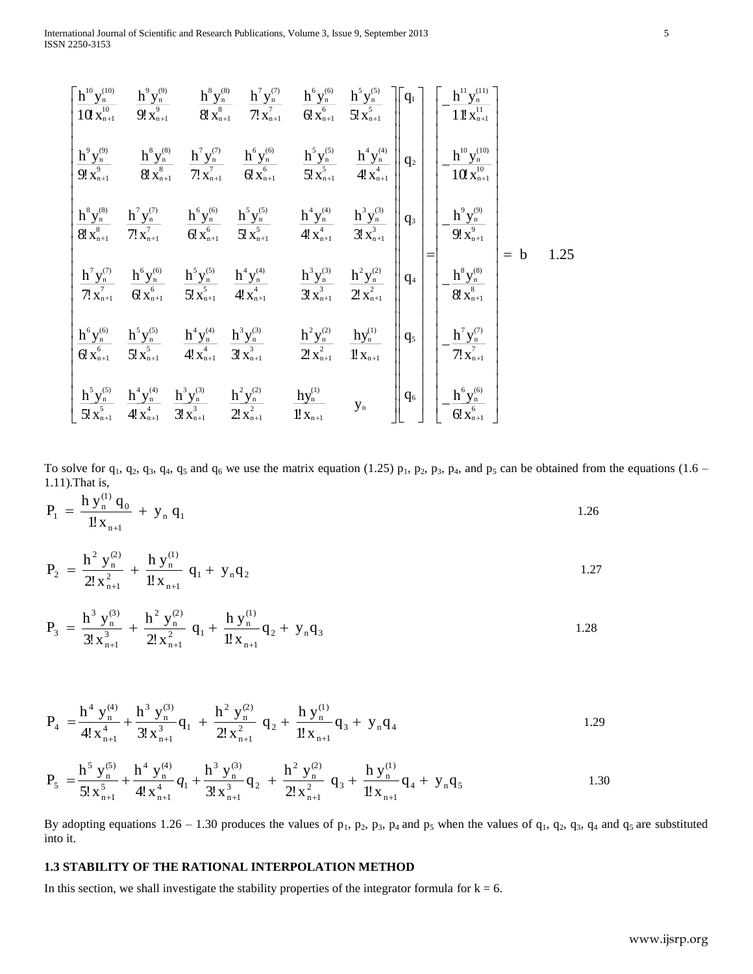$$
\begin{bmatrix}\n\frac{h^{10}y_n^{(10)}}{10x_{n+1}^{10}} & \frac{h^{9}y_n^{(9)}}{9!x_{n+1}^{9}} & \frac{h^{8}y_n^{(8)}}{8!x_{n+1}^{8}} & \frac{h^{7}y_n^{(7)}}{7!x_{n+1}^{7}} & \frac{h^{6}y_n^{(6)}}{6!x_{n+1}^{6}} & \frac{h^{5}y_n^{(5)}}{5!x_{n+1}^{5}} & \frac{h^{4}y_n^{(4)}}{4!x_{n+1}^{4}} \\
\frac{h^{9}y_n^{(9)}}{9!x_{n+1}^{9}} & \frac{h^{8}y_n^{(8)}}{8!x_{n+1}^{8}} & \frac{h^{7}y_n^{(7)}}{7!x_{n+1}^{7}} & \frac{h^{6}y_n^{(6)}}{6!x_{n+1}^{6}} & \frac{h^{5}y_n^{(5)}}{5!x_{n+1}^{5}} & \frac{h^{4}y_n^{(4)}}{4!x_{n+1}^{4}} \\
\frac{h^{8}y_n^{(8)}}{8!x_{n+1}^{8}} & \frac{h^{7}y_n^{(7)}}{7!x_{n+1}^{7}} & \frac{h^{6}y_n^{(6)}}{6!x_{n+1}^{6}} & \frac{h^{5}y_n^{(5)}}{5!x_{n+1}^{5}} & \frac{h^{4}y_n^{(4)}}{4!x_{n+1}^{4}} & \frac{h^{3}y_n^{(3)}}{3!x_{n+1}^{3}} \\
\frac{h^{7}y_n^{(9)}}{7!x_{n+1}^{7}} & \frac{h^{6}y_n^{(6)}}{6!x_{n+1}^{6}} & \frac{h^{5}y_n^{(5)}}{5!x_{n+1}^{5}} & \frac{h^{4}y_n^{(4)}}{4!x_{n+1}^{4}} & \frac{h^{3}y_n^{(3)}}{3!x_{n+1}^{3}} & \frac{h^{2}y_n^{(2)}}{2!x_{n+1}^{2}} \\
\frac{h^{6}y_n^{(6)}}{8!x_{n+1}^{8}} & \frac{h^{5}y_n^{(5)}}{8!x_{n+1}^{8}} & \frac{h^{4}y_n^{(4)}}{4!x_{n+1}^{4}} & \frac{h^{3}y_n^{(3)}}{2!x_{n+1}
$$

To solve for  $q_1$ ,  $q_2$ ,  $q_3$ ,  $q_4$ ,  $q_5$  and  $q_6$  we use the matrix equation (1.25)  $p_1$ ,  $p_2$ ,  $p_3$ ,  $p_4$ , and  $p_5$  can be obtained from the equations (1.6 – 1.11).That is,

$$
P_1 = \frac{h y_n^{(1)} q_0}{1! x_{n+1}} + y_n q_1
$$

$$
P_2 = \frac{h^2 y_n^{(2)}}{2! x_{n+1}^2} + \frac{h y_n^{(1)}}{1! x_{n+1}} q_1 + y_n q_2
$$

$$
P_3 = \frac{h^3 y_n^{(3)}}{3! x_{n+1}^3} + \frac{h^2 y_n^{(2)}}{2! x_{n+1}^2} q_1 + \frac{h y_n^{(1)}}{1! x_{n+1}} q_2 + y_n q_3
$$

$$
P_4 = \frac{h^4 y_n^{(4)}}{4! x_{n+1}^4} + \frac{h^3 y_n^{(3)}}{3! x_{n+1}^3} q_1 + \frac{h^2 y_n^{(2)}}{2! x_{n+1}^2} q_2 + \frac{h y_n^{(1)}}{1! x_{n+1}} q_3 + y_n q_4
$$

$$
P_5 = \frac{h^5 y_n^{(5)}}{5! x_{n+1}^5} + \frac{h^4 y_n^{(4)}}{4! x_{n+1}^4} q_1 + \frac{h^3 y_n^{(3)}}{3! x_{n+1}^3} q_2 + \frac{h^2 y_n^{(2)}}{2! x_{n+1}^2} q_3 + \frac{h y_n^{(1)}}{1! x_{n+1}} q_4 + y_n q_5
$$

By adopting equations  $1.26 - 1.30$  produces the values of  $p_1$ ,  $p_2$ ,  $p_3$ ,  $p_4$  and  $p_5$  when the values of  $q_1$ ,  $q_2$ ,  $q_3$ ,  $q_4$  and  $q_5$  are substituted into it.

# **1.3 STABILITY OF THE RATIONAL INTERPOLATION METHOD**

In this section, we shall investigate the stability properties of the integrator formula for  $k = 6$ .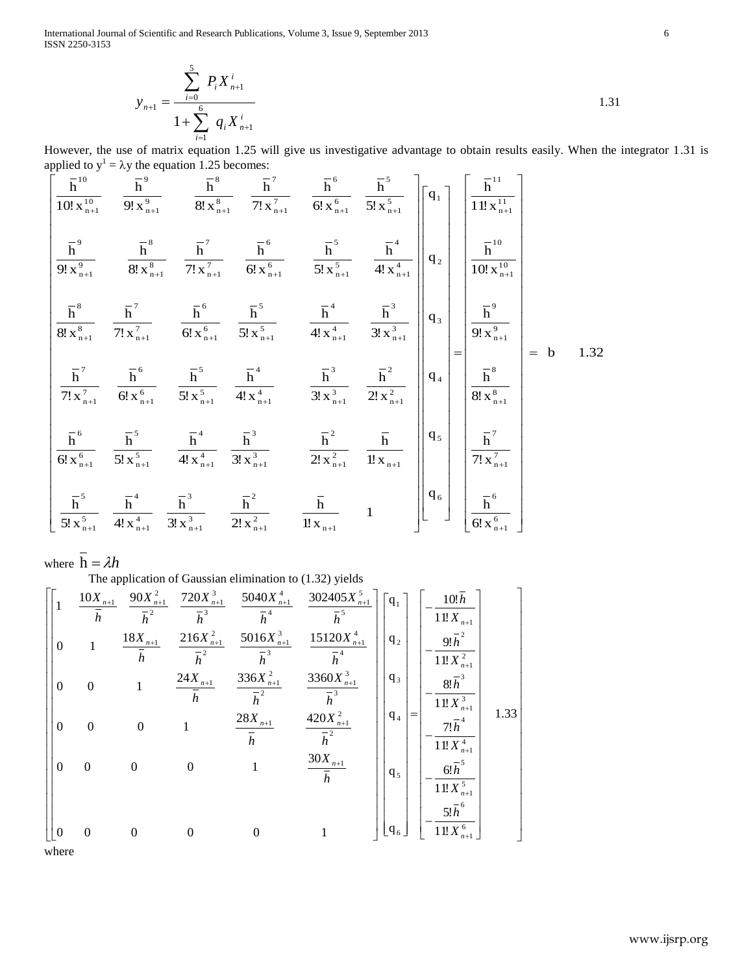International Journal of Scientific and Research Publications, Volume 3, Issue 9, September 2013 6 ISSN 2250-3153

$$
y_{n+1} = \frac{\sum_{i=0}^{5} P_{i} X_{n+1}^{i}}{1 + \sum_{i=1}^{6} q_{i} X_{n+1}^{i}}
$$

However, the use of matrix equation 1.25 will give us investigative advantage to obtain results easily. When the integrator 1.31 is applied to  $y^1 = \lambda y$  the equation 1.25 becomes:  $\frac{1}{11}$ ei<br>1 t<br>10

However, the use of matrix equation 1.25 because investigative advantage to obtain results easily. When the integrator 1.31 is  
\napplied to 
$$
y' = \lambda y
$$
 the equation 1.25 because:  
\n
$$
\frac{\overline{h}^{10}}{10\overline{x_{n1}}^{10}} = \frac{\overline{h}^{9}}{9\overline{x_{n1}}^{2}} = \frac{\overline{h}^{8}}{8\overline{x_{n1}}^{8}} = \frac{\overline{h}^{7}}{71x_{n1}^{7}} = \frac{\overline{h}^{6}}{61x_{n1}^{6}} = \frac{\overline{h}^{5}}{51x_{n1}^{5}} = \frac{\overline{h}^{6}}{11x_{n1}^{5}}
$$
  
\n
$$
\frac{\overline{h}^{7}}{91x_{n1}^{7}} = \frac{\overline{h}^{8}}{81x_{n1}^{5}} = \frac{\overline{h}^{6}}{71x_{n1}^{7}} = \frac{\overline{h}^{6}}{61x_{n1}^{6}} = \frac{\overline{h}^{5}}{51x_{n1}^{5}} = \frac{\overline{h}^{4}}{41x_{n1}^{4}} = \frac{\overline{h}^{3}}{10x_{n1}^{6}}
$$
  
\n
$$
\frac{\overline{h}^{7}}{81x_{n1}^{7}} = \frac{\overline{h}^{7}}{71x_{n1}^{7}} = \frac{\overline{h}^{6}}{61x_{n1}^{6}} = \frac{\overline{h}^{4}}{51x_{n1}^{5}} = \frac{\overline{h}^{4}}{41x_{n1}^{4}} = \frac{\overline{h}^{3}}{31x_{n1}^{2}} = \frac{\overline{h}^{2}}{21x_{n1}^{2}} = \frac{\overline{h}^{2}}{10x_{n1}^{7}}
$$
  
\n
$$
\frac{\overline{h}^{7}}{61x_{n1}^{6}} = \frac{\overline{h}^{5}}{51x_{n1}^{5}} = \frac{\overline{h}^{4}}{41x_{n1}^{4}} = \frac{\overline{h}^{3}}{31x_{n1}^{2}} = \frac{\overline{h}^{2}}{21x_{n1}^{2}} = \frac{\overline{h}^{2}}{11x_{n1}^{2}}
$$
  
\n
$$
\frac{\overline{h}^{
$$

where  $h = \lambda h$ 

where 
$$
\mathbf{h} = A\mathbf{h}
$$
  
\nThe application of Gaussian elimination to (1.32) yields  
\n
$$
\begin{bmatrix}\n1 & \frac{10X_{n+1}}{\bar{h}} & \frac{90X_{n+1}^2}{\bar{h}^2} & \frac{720X_{n+1}^3}{\bar{h}^3} & \frac{5040X_{n+1}^4}{\bar{h}^4} & \frac{302405X_{n+1}^5}{\bar{h}^5} \\
0 & 1 & \frac{18X_{n+1}}{\bar{h}} & \frac{216X_{n+1}^2}{\bar{h}^2} & \frac{5016X_{n+1}^3}{\bar{h}^3} & \frac{15120X_{n+1}^4}{\bar{h}^4} \\
0 & 0 & 1 & \frac{24X_{n+1}}{\bar{h}} & \frac{336X_{n+1}^2}{\bar{h}^2} & \frac{3360X_{n+1}^3}{\bar{h}^3} \\
0 & 0 & 0 & 1 & \frac{28X_{n+1}}{\bar{h}} & \frac{420X_{n+1}^2}{\bar{h}^2} \\
0 & 0 & 0 & 1 & \frac{30X_{n+1}}{\bar{h}} \\
0 & 0 & 0 & 0 & 1 & \frac{30X_{n+1}}{\bar{h}} \\
0 & 0 & 0 & 0 & 1 & \frac{30X_{n+1}}{\bar{h}} \\
0 & 0 & 0 & 0 & 1 & \frac{30X_{n+1}}{\bar{h}} \\
0 & 0 & 0 & 0 & 1 & \frac{51}{\bar{h}} \\
0 & 0 & 0 & 0 & 1 & \frac{51}{\bar{h}} \\
0 & 0 & 0 & 0 & 1 & \frac{51}{\bar{h}} \\
0 & 0 & 0 & 0 & 1 & \frac{51}{\bar{h}} \\
0 & 0 & 0 & 0 & 1 & \frac{51}{\bar{h}} \\
0 & 0 & 0 & 0 & 1 & \frac{51}{\bar{h}} \\
0 & 0 & 0 & 0 & 1 & \frac{51}{\bar{h}} \\
0 & 0 & 0 & 0 & 1 & \frac{51}{\bar{h}} \\
0 & 0 & 0 & 0 & 1 & \frac{51}{\bar{h}} \\
0 & 0 & 0 & 0 & 0 & 1\n\end{
$$

where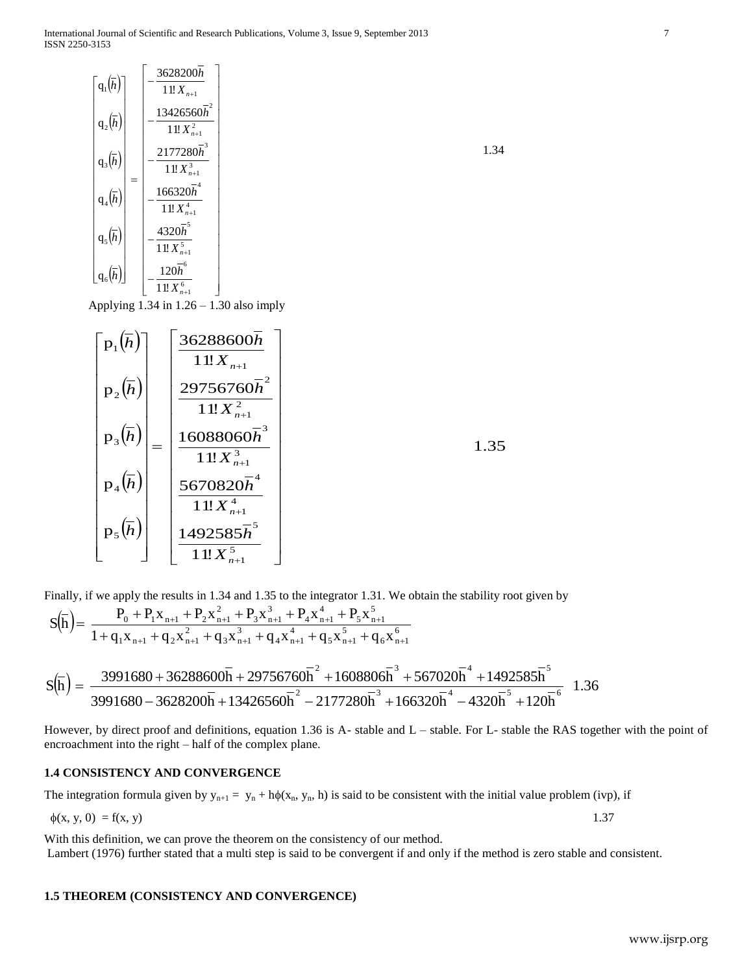International Journal of Scientific and Research Publications, Volume 3, Issue 9, September 2013 7 ISSN 2250-3153

$$
\begin{bmatrix}\n\mathbf{q}_{1}(\overline{h}) \\
\mathbf{q}_{2}(\overline{h}) \\
\mathbf{q}_{3}(\overline{h}) \\
\mathbf{q}_{4}(\overline{h}) \\
\mathbf{q}_{5}(\overline{h}) \\
\mathbf{q}_{6}(\overline{h})\n\end{bmatrix} = \begin{bmatrix}\n-\frac{3628200\overline{h}}{11!X_{n+1}} \\
-\frac{13426560\overline{h}^{2}}{11!X_{n+1}^{2}} \\
-\frac{2177280\overline{h}^{3}}{11!X_{n+1}^{3}} \\
-\frac{166320\overline{h}^{4}}{11!X_{n+1}^{4}} \\
-\frac{4320\overline{h}^{5}}{11!X_{n+1}^{5}} \\
-\frac{120\overline{h}^{6}}{11!X_{n+1}^{6}}\n\end{bmatrix}
$$

Applying 1.34 in 1.26 – 1.30 also imply

| $\bar{} \, \mathrm{p}_1 \big( \overline{h} \big) \bar{}$ | 36288600h<br>$11!X_{n+1}$               |
|----------------------------------------------------------|-----------------------------------------|
| $p_2(\overline{h})$                                      | $29756760\bar{h}^2$<br>$11!X_{n+1}^{2}$ |
| $p_3(\overline{h})$                                      | $16088060\overline{h}^3$                |
| $p_4(\overline{h})$                                      | $1!X_{n+1}^3$<br>5670820 $\overline{h}$ |
| $p_5(\overline{h})$                                      | $1!X_{n+1}^4$<br>1492585h               |
|                                                          | 11!X                                    |

Finally, if we apply the results in 1.34 and 1.35 to the integrator 1.31. We obtain the stability root given by

$$
S(\overline{h}) = \frac{P_0 + P_1 x_{n+1} + P_2 x_{n+1}^2 + P_3 x_{n+1}^3 + P_4 x_{n+1}^4 + P_5 x_{n+1}^5}{1 + q_1 x_{n+1} + q_2 x_{n+1}^2 + q_3 x_{n+1}^3 + q_4 x_{n+1}^4 + q_5 x_{n+1}^5 + q_6 x_{n+1}^6}
$$
  

$$
S(\overline{h}) = \frac{3991680 + 36288600\overline{h} + 29756760\overline{h}^2 + 1608806\overline{h}^3 + 567020\overline{h}^4 + 1492585\overline{h}^5}{3991680 - 3628200\overline{h} + 13426560\overline{h}^2 - 2177280\overline{h}^3 + 166320\overline{h}^4 - 4320\overline{h}^5 + 120\overline{h}^6} \quad 1.36
$$

However, by direct proof and definitions, equation 1.36 is A- stable and L – stable. For L- stable the RAS together with the point of encroachment into the right – half of the complex plane.

## **1.4 CONSISTENCY AND CONVERGENCE**

The integration formula given by  $y_{n+1} = y_n + h\phi(x_n, y_n, h)$  is said to be consistent with the initial value problem (ivp), if

$$
\phi(x, y, 0) = f(x, y) \tag{1.37}
$$

With this definition, we can prove the theorem on the consistency of our method. Lambert (1976) further stated that a multi step is said to be convergent if and only if the method is zero stable and consistent.

#### **1.5 THEOREM (CONSISTENCY AND CONVERGENCE)**

1.34

1.35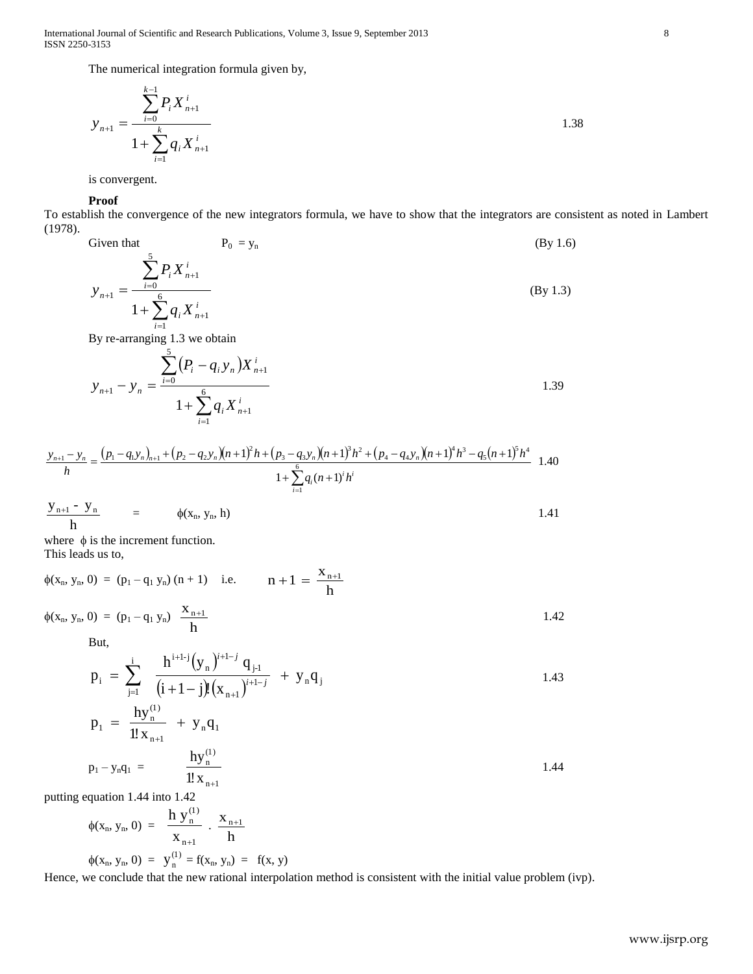International Journal of Scientific and Research Publications, Volume 3, Issue 9, September 2013 8 ISSN 2250-3153

The numerical integration formula given by,

$$
y_{n+1} = \frac{\sum_{i=0}^{k-1} P_i X_{n+1}^i}{1 + \sum_{i=1}^k q_i X_{n+1}^i}
$$

is convergent.

#### **Proof**

To establish the convergence of the new integrators formula, we have to show that the integrators are consistent as noted in Lambert (1978).

Given that 
$$
P_0 = y_n
$$
 (By 1.6)  
\n
$$
y_{n+1} = \frac{\sum_{i=0}^{5} P_i X_{n+1}^i}{1 + \sum_{i=1}^{6} q_i X_{n+1}^i}
$$
 (By 1.3)

By re-arranging 1.3 we obtain

$$
y_{n+1} - y_n = \frac{\sum_{i=0}^{5} (P_i - q_i y_n) X_{n+1}^i}{1 + \sum_{i=1}^{6} q_i X_{n+1}^i}
$$

$$
\frac{y_{n+1} - y_n}{h} = \frac{(p_1 - q_1 y_n)_{n+1} + (p_2 - q_2 y_n)(n+1)^2 h + (p_3 - q_3 y_n)(n+1)^3 h^2 + (p_4 - q_4 y_n)(n+1)^4 h^3 - q_5 (n+1)^5 h^4}{1 + \sum_{i=1}^6 q_i (n+1)^i h^i}
$$
 1.40

$$
\frac{y_{n+1} - y_n}{h} = \phi(x_n, y_n, h)
$$
 1.41

where  $\phi$  is the increment function. This leads us to,

$$
\phi(x_n, y_n, 0) = (p_1 - q_1 y_n) (n + 1) \quad \text{i.e.} \qquad n + 1 = \frac{x_{n+1}}{h}
$$
\n
$$
\phi(x_n, y_n, 0) = (p_1 - q_1 y_n) \frac{x_{n+1}}{h} \qquad (1.42)
$$

But,

$$
p_{i} = \sum_{j=1}^{i} \frac{h^{i+1-j} (y_{n})^{i+1-j} q_{j+1}}{(i+1-j)!(x_{n+1})^{i+1-j}} + y_{n} q_{j}
$$
\n
$$
n = \frac{hy_{n}^{(1)}}{(y_{n+1} + y_{n})^{i+1-j}}
$$
\n
$$
(1.43)
$$

$$
p_1 = \frac{Hy_n}{1!x_{n+1}} + y_nq_1
$$
  

$$
p_1 - y_nq_1 = \frac{hy_n^{(1)}}{1!x_{n+1}}
$$
 1.44

putting equation 1.44 into 1.42

$$
\phi(x_n, y_n, 0) = \frac{h y_n^{(1)}}{x_{n+1}} \cdot \frac{x_{n+1}}{h}
$$

 $\phi(x_n, y_n, 0) = y_n^{(1)} = f(x_n, y_n) = f(x, y)$ 

h

Hence, we conclude that the new rational interpolation method is consistent with the initial value problem (ivp).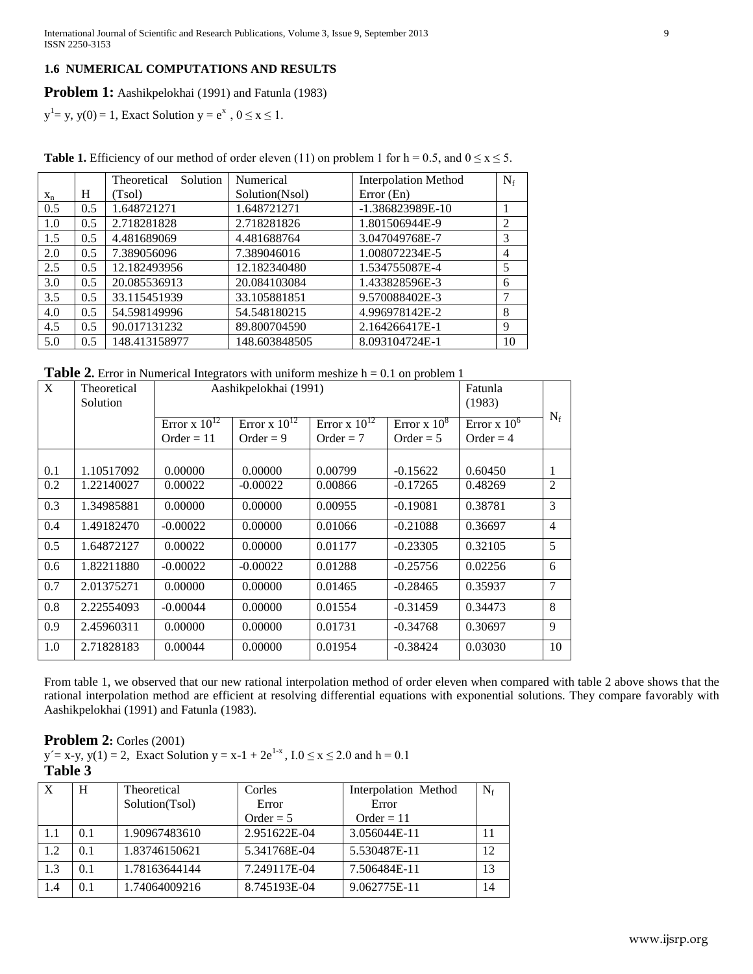# **1.6 NUMERICAL COMPUTATIONS AND RESULTS**

### **Problem 1:** Aashikpelokhai (1991) and Fatunla (1983)

 $y<sup>1</sup> = y$ ,  $y(0) = 1$ , Exact Solution  $y = e<sup>x</sup>$ ,  $0 \le x \le 1$ .

| <b>Table 1.</b> Efficiency of our method of order eleven (11) on problem 1 for $h = 0.5$ , and $0 \le x \le 5$ . |  |
|------------------------------------------------------------------------------------------------------------------|--|
|------------------------------------------------------------------------------------------------------------------|--|

|       |     | Solution<br>Theoretical | Numerical      | <b>Interpolation Method</b> | $N_f$          |
|-------|-----|-------------------------|----------------|-----------------------------|----------------|
| $X_n$ | Н   | (Tsol)                  | Solution(Nsol) | Error (En)                  |                |
| 0.5   | 0.5 | 1.648721271             | 1.648721271    | -1.386823989E-10            |                |
| 1.0   | 0.5 | 2.718281828             | 2.718281826    | 1.801506944E-9              | $\overline{2}$ |
| 1.5   | 0.5 | 4.481689069             | 4.481688764    | 3.047049768E-7              | 3              |
| 2.0   | 0.5 | 7.389056096             | 7.389046016    | 1.008072234E-5              | 4              |
| 2.5   | 0.5 | 12.182493956            | 12.182340480   | 1.534755087E-4              | 5              |
| 3.0   | 0.5 | 20.085536913            | 20.084103084   | 1.433828596E-3              | 6              |
| 3.5   | 0.5 | 33.115451939            | 33.105881851   | 9.570088402E-3              | 7              |
| 4.0   | 0.5 | 54.598149996            | 54.548180215   | 4.996978142E-2              | 8              |
| 4.5   | 0.5 | 90.017131232            | 89.800704590   | 2.164266417E-1              | 9              |
| 5.0   | 0.5 | 148.413158977           | 148.603848505  | 8.093104724E-1              | 10             |

**Table 2.** Error in Numerical Integrators with uniform meshize  $h = 0.1$  on problem 1

| $\mathbf{X}$ | Theoretical<br>Solution | Aashikpelokhai (1991)                                                                                                                           |            |                                    |            | Fatunla<br>(1983) |                |
|--------------|-------------------------|-------------------------------------------------------------------------------------------------------------------------------------------------|------------|------------------------------------|------------|-------------------|----------------|
|              |                         | Error x $10^{12}$<br>Error x $10^{12}$<br>Error x $10^{12}$<br>Error $\times 10^8$<br>Order = $9$<br>$Order = 11$<br>Order $= 7$<br>Order = $5$ |            | Error $\times 10^6$<br>$Order = 4$ | $N_f$      |                   |                |
| 0.1          | 1.10517092              | 0.00000                                                                                                                                         | 0.00000    | 0.00799                            | $-0.15622$ | 0.60450           | 1              |
| 0.2          | 1.22140027              | 0.00022                                                                                                                                         | $-0.00022$ | 0.00866                            | $-0.17265$ | 0.48269           | $\overline{2}$ |
| 0.3          | 1.34985881              | 0.00000                                                                                                                                         | 0.00000    | 0.00955                            | $-0.19081$ | 0.38781           | 3              |
| 0.4          | 1.49182470              | $-0.00022$                                                                                                                                      | 0.00000    | 0.01066                            | $-0.21088$ | 0.36697           | $\overline{4}$ |
| 0.5          | 1.64872127              | 0.00022                                                                                                                                         | 0.00000    | 0.01177                            | $-0.23305$ | 0.32105           | 5              |
| 0.6          | 1.82211880              | $-0.00022$                                                                                                                                      | $-0.00022$ | 0.01288                            | $-0.25756$ | 0.02256           | 6              |
| 0.7          | 2.01375271              | 0.00000                                                                                                                                         | 0.00000    | 0.01465                            | $-0.28465$ | 0.35937           | 7              |
| 0.8          | 2.22554093              | $-0.00044$                                                                                                                                      | 0.00000    | 0.01554                            | $-0.31459$ | 0.34473           | 8              |
| 0.9          | 2.45960311              | 0.00000                                                                                                                                         | 0.00000    | 0.01731                            | $-0.34768$ | 0.30697           | 9              |
| 1.0          | 2.71828183              | 0.00044                                                                                                                                         | 0.00000    | 0.01954                            | $-0.38424$ | 0.03030           | 10             |

From table 1, we observed that our new rational interpolation method of order eleven when compared with table 2 above shows that the rational interpolation method are efficient at resolving differential equations with exponential solutions. They compare favorably with Aashikpelokhai (1991) and Fatunla (1983).

# **Problem 2:** Corles (2001)

 $y' = x-y$ ,  $y(1) = 2$ , Exact Solution  $y = x-1 + 2e^{1-x}$ ,  $I.0 \le x \le 2.0$  and  $h = 0.1$ **Table 3**

| $\overline{X}$ | H   | Theoretical    | Corles       | Interpolation Method | $N_f$ |
|----------------|-----|----------------|--------------|----------------------|-------|
|                |     | Solution(Tsol) | Error        | Error                |       |
|                |     |                | Order = $5$  | $Order = 11$         |       |
| -1.1           | 0.1 | 1.90967483610  | 2.951622E-04 | 3.056044E-11         |       |
| 1.2            | 0.1 | 1.83746150621  | 5.341768E-04 | 5.530487E-11         | 12    |
| 1.3            | 0.1 | 1.78163644144  | 7.249117E-04 | 7.506484E-11         | 13    |
| 1.4            | 0.1 | 1.74064009216  | 8.745193E-04 | 9.062775E-11         | 14    |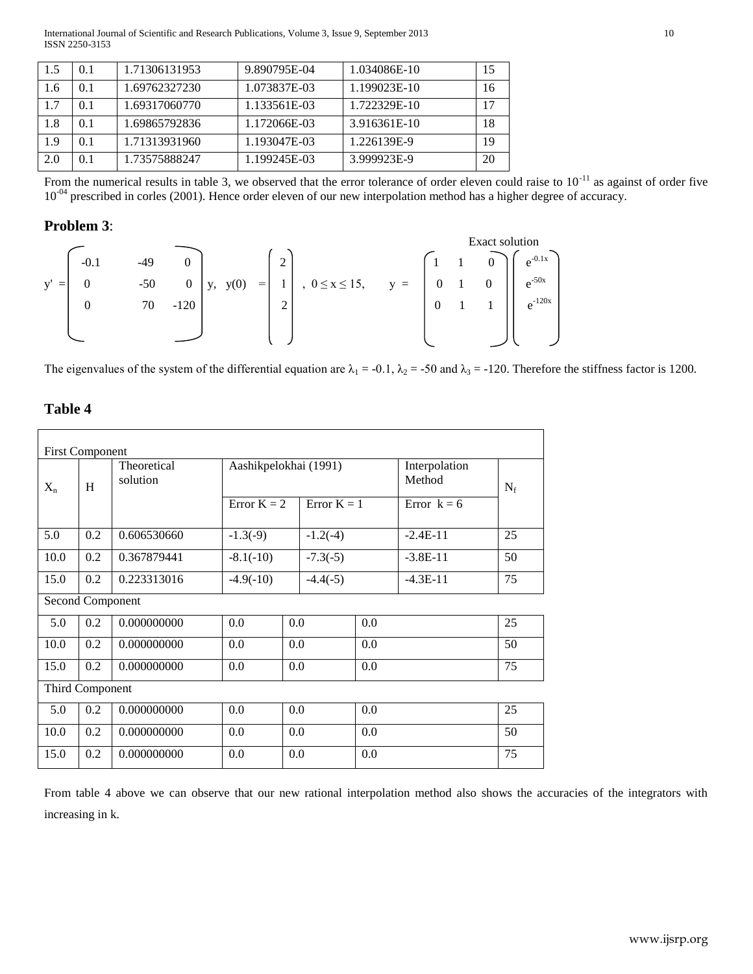International Journal of Scientific and Research Publications, Volume 3, Issue 9, September 2013 10 ISSN 2250-3153

| 1.5 | 0.1 | 1.71306131953 | 9.890795E-04 | 1.034086E-10 | 15 |
|-----|-----|---------------|--------------|--------------|----|
| 1.6 | 0.1 | 1.69762327230 | 1.073837E-03 | 1.199023E-10 | 16 |
| 1.7 | 0.1 | 1.69317060770 | 1.133561E-03 | 1.722329E-10 | 17 |
| 1.8 | 0.1 | 1.69865792836 | 1.172066E-03 | 3.916361E-10 | 18 |
| 1.9 | 0.1 | 1.71313931960 | 1.193047E-03 | 1.226139E-9  | 19 |
| 2.0 | 0.1 | 1.73575888247 | 1.199245E-03 | 3.999923E-9  | 20 |

From the numerical results in table 3, we observed that the error tolerance of order eleven could raise to  $10^{-11}$  as against of order five 10<sup>-04</sup> prescribed in corles (2001). Hence order eleven of our new interpolation method has a higher degree of accuracy.

# **Problem 3**:



The eigenvalues of the system of the differential equation are  $\lambda_1 = -0.1$ ,  $\lambda_2 = -50$  and  $\lambda_3 = -120$ . Therefore the stiffness factor is 1200.

# **Table 4**

| <b>First Component</b> |                  |                         |                           |            |               |                         |               |    |
|------------------------|------------------|-------------------------|---------------------------|------------|---------------|-------------------------|---------------|----|
| $X_{n}$                | H                | Theoretical<br>solution | Aashikpelokhai (1991)     |            |               | Interpolation<br>Method | $N_f$         |    |
|                        |                  |                         | Error $K = 2$             |            | Error $K = 1$ |                         | Error $k = 6$ |    |
| 5.0                    | 0.2              | 0.606530660             | $-1.3(-9)$                |            | $-1.2(-4)$    |                         | $-2.4E-11$    | 25 |
| 10.0                   | 0.2              | 0.367879441             | $-7.3(-5)$<br>$-8.1(-10)$ |            |               | $-3.8E-11$              | 50            |    |
| 15.0                   | 0.2              | 0.223313016             | $-4.9(-10)$               | $-4.4(-5)$ |               |                         | $-4.3E-11$    | 75 |
|                        | Second Component |                         |                           |            |               |                         |               |    |
| 5.0                    | 0.2              | 0.000000000             | 0.0                       | 0.0        |               | 0.0                     |               | 25 |
| 10.0                   | 0.2              | 0.000000000             | 0.0                       | 0.0<br>0.0 |               |                         |               | 50 |
| 15.0                   | 0.2              | 0.000000000             | 0.0<br>0.0                |            | 0.0           |                         | 75            |    |
| Third Component        |                  |                         |                           |            |               |                         |               |    |
| 5.0                    | 0.2              | 0.000000000             | 0.0                       | 0.0        |               | 0.0                     |               | 25 |
| 10.0                   | 0.2              | 0.000000000             | 0.0                       | 0.0        |               | 0.0                     |               | 50 |
| 15.0                   | 0.2              | 0.000000000             | 0.0                       | 0.0        |               | 0.0                     |               | 75 |

From table 4 above we can observe that our new rational interpolation method also shows the accuracies of the integrators with increasing in k.